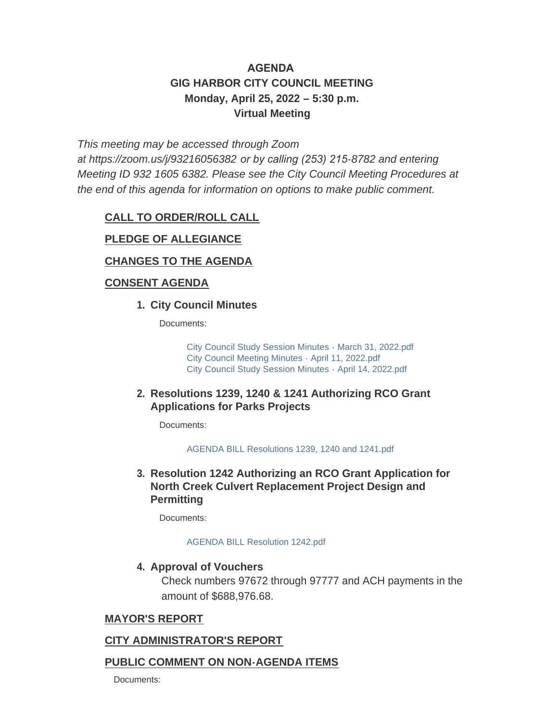# **AGENDA GIG HARBOR CITY COUNCIL MEETING Monday, April 25, 2022 – 5:30 p.m. Virtual Meeting**

*This meeting may be accessed through Zoom* 

*at <https://zoom.us/j/93216056382> or by calling (253) 215-8782 and entering Meeting ID 932 1605 6382. Please see the City Council Meeting Procedures at the end of this agenda for information on options to make public comment.*

## **CALL TO ORDER/ROLL CALL**

## **PLEDGE OF ALLEGIANCE**

## **CHANGES TO THE AGENDA**

## **CONSENT AGENDA**

### **City Council Minutes 1.**

Documents:

[City Council Study Session Minutes - March 31, 2022.pdf](http://www.cityofgigharbor.net/AgendaCenter/ViewFile/Item/925?fileID=1881) [City Council Meeting Minutes - April 11, 2022.pdf](http://www.cityofgigharbor.net/AgendaCenter/ViewFile/Item/925?fileID=1882) [City Council Study Session Minutes - April 14, 2022.pdf](http://www.cityofgigharbor.net/AgendaCenter/ViewFile/Item/925?fileID=1880)

### **Resolutions 1239, 1240 & 1241 Authorizing RCO Grant 2. Applications for Parks Projects**

Documents:

[AGENDA BILL Resolutions 1239, 1240 and 1241.pdf](http://www.cityofgigharbor.net/AgendaCenter/ViewFile/Item/926?fileID=1891)

**Resolution 1242 Authorizing an RCO Grant Application for 3. North Creek Culvert Replacement Project Design and Permitting**

Documents:

#### [AGENDA BILL Resolution 1242.pdf](http://www.cityofgigharbor.net/AgendaCenter/ViewFile/Item/927?fileID=1884)

### **4. Approval of Vouchers**

Check numbers 97672 through 97777 and ACH payments in the amount of \$688,976.68.

## **MAYOR'S REPORT**

## **CITY ADMINISTRATOR'S REPORT**

## **PUBLIC COMMENT ON NON-AGENDA ITEMS**

Documents: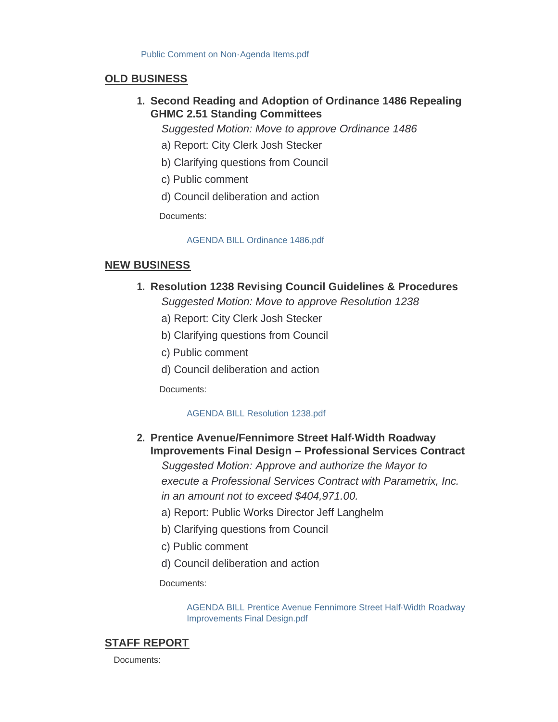### **OLD BUSINESS**

**Second Reading and Adoption of Ordinance 1486 Repealing 1. GHMC 2.51 Standing Committees**

*Suggested Motion: Move to approve Ordinance 1486*

- a) Report: City Clerk Josh Stecker
- b) Clarifying questions from Council
- c) Public comment
- d) Council deliberation and action

Documents:

#### [AGENDA BILL Ordinance 1486.pdf](http://www.cityofgigharbor.net/AgendaCenter/ViewFile/Item/929?fileID=1885)

### **NEW BUSINESS**

### **Resolution 1238 Revising Council Guidelines & Procedures 1.**

*Suggested Motion: Move to approve Resolution 1238*

- a) Report: City Clerk Josh Stecker
- b) Clarifying questions from Council
- c) Public comment
- d) Council deliberation and action

Documents:

#### [AGENDA BILL Resolution 1238.pdf](http://www.cityofgigharbor.net/AgendaCenter/ViewFile/Item/930?fileID=1886)

## **Prentice Avenue/Fennimore Street Half-Width Roadway 2. Improvements Final Design – Professional Services Contract**

*Suggested Motion: Approve and authorize the Mayor to execute a Professional Services Contract with Parametrix, Inc. in an amount not to exceed \$404,971.00.*

- a) Report: Public Works Director Jeff Langhelm
- b) Clarifying questions from Council
- c) Public comment
- d) Council deliberation and action

Documents:

[AGENDA BILL Prentice Avenue Fennimore Street Half-Width Roadway](http://www.cityofgigharbor.net/AgendaCenter/ViewFile/Item/931?fileID=1887)  Improvements Final Design.pdf

### **STAFF REPORT**

Documents: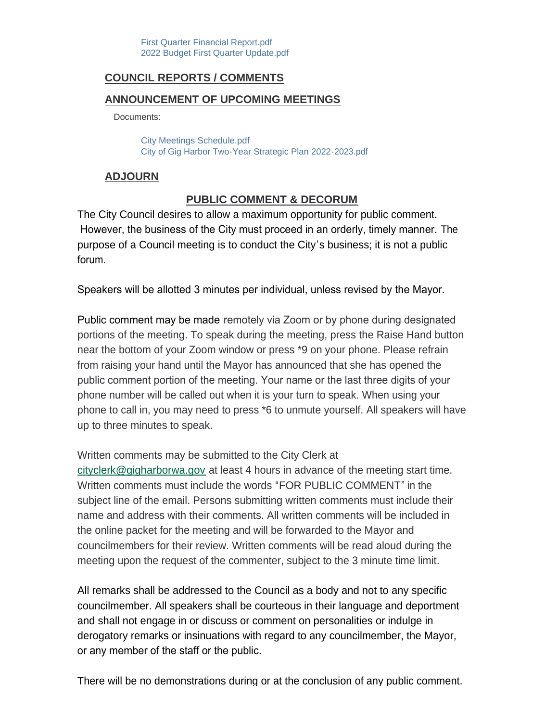## **COUNCIL REPORTS / COMMENTS**

### **ANNOUNCEMENT OF UPCOMING MEETINGS**

Documents:

[City Meetings Schedule.pdf](http://www.cityofgigharbor.net/AgendaCenter/ViewFile/Item/932?fileID=1888) [City of Gig Harbor Two-Year Strategic Plan 2022-2023.pdf](http://www.cityofgigharbor.net/AgendaCenter/ViewFile/Item/932?fileID=1889)

### **ADJOURN**

# **PUBLIC COMMENT & DECORUM**

The City Council desires to allow a maximum opportunity for public comment. However, the business of the City must proceed in an orderly, timely manner. The purpose of a Council meeting is to conduct the City's business; it is not a public forum.

Speakers will be allotted 3 minutes per individual, unless revised by the Mayor.

Public comment may be made remotely via Zoom or by phone during designated portions of the meeting. To speak during the meeting, press the Raise Hand button near the bottom of your Zoom window or press \*9 on your phone. Please refrain from raising your hand until the Mayor has announced that she has opened the public comment portion of the meeting. Your name or the last three digits of your phone number will be called out when it is your turn to speak. When using your phone to call in, you may need to press \*6 to unmute yourself. All speakers will have up to three minutes to speak.

[Written comments may be s](mailto:cityclerk@gigharborwa.gov)ubmitted to the City Clerk at

cityclerk@gigharborwa.gov at least 4 hours in advance of the meeting start time. Written comments must include the words "FOR PUBLIC COMMENT" in the subject line of the email. Persons submitting written comments must include their name and address with their comments. All written comments will be included in the online packet for the meeting and will be forwarded to the Mayor and councilmembers for their review. Written comments will be read aloud during the meeting upon the request of the commenter, subject to the 3 minute time limit.

All remarks shall be addressed to the Council as a body and not to any specific councilmember. All speakers shall be courteous in their language and deportment and shall not engage in or discuss or comment on personalities or indulge in derogatory remarks or insinuations with regard to any councilmember, the Mayor, or any member of the staff or the public.

There will be no demonstrations during or at the conclusion of any public comment.